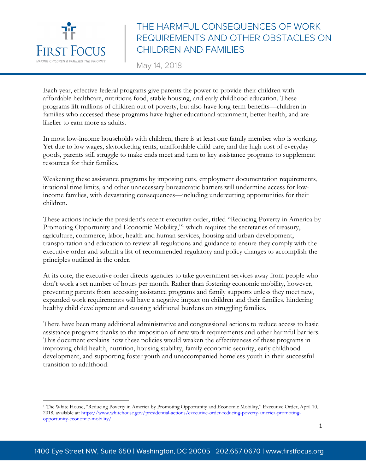

 $\overline{a}$ 

# THE HARMFUL CONSEQUENCES OF WORK REQUIREMENTS AND OTHER OBSTACLES ON CHILDREN AND FAMILIES

May 14, 2018

Each year, effective federal programs give parents the power to provide their children with affordable healthcare, nutritious food, stable housing, and early childhood education. These programs lift millions of children out of poverty, but also have long-term benefits—children in families who accessed these programs have higher educational attainment, better health, and are likelier to earn more as adults.

In most low-income households with children, there is at least one family member who is working. Yet due to low wages, skyrocketing rents, unaffordable child care, and the high cost of everyday goods, parents still struggle to make ends meet and turn to key assistance programs to supplement resources for their families.

Weakening these assistance programs by imposing cuts, employment documentation requirements, irrational time limits, and other unnecessary bureaucratic barriers will undermine access for lowincome families, with devastating consequences—including undercutting opportunities for their children.

These actions include the president's recent executive order, titled "Reducing Poverty in America by Promoting Opportunity and Economic Mobility,"<sup>1</sup> which requires the secretaries of treasury, agriculture, commerce, labor, health and human services, housing and urban development, transportation and education to review all regulations and guidance to ensure they comply with the executive order and submit a list of recommended regulatory and policy changes to accomplish the principles outlined in the order.

At its core, the executive order directs agencies to take government services away from people who don't work a set number of hours per month. Rather than fostering economic mobility, however, preventing parents from accessing assistance programs and family supports unless they meet new, expanded work requirements will have a negative impact on children and their families, hindering healthy child development and causing additional burdens on struggling families.

There have been many additional administrative and congressional actions to reduce access to basic assistance programs thanks to the imposition of new work requirements and other harmful barriers. This document explains how these policies would weaken the effectiveness of these programs in improving child health, nutrition, housing stability, family economic security, early childhood development, and supporting foster youth and unaccompanied homeless youth in their successful transition to adulthood.

<sup>1</sup> The White House, "Reducing Poverty in America by Promoting Opportunity and Economic Mobility," Executive Order, April 10, 2018, available at: https://www.whitehouse.gov/presidential-actions/executive-order-reducing-poverty-america-promotingopportunity-economic-mobility/.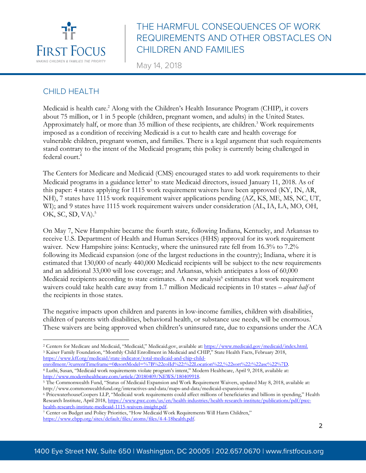

May 14, 2018

#### CHILD HEALTH

Medicaid is health care. <sup>2</sup> Along with the Children's Health Insurance Program (CHIP), it covers about 75 million, or 1 in 5 people (children, pregnant women, and adults) in the United States. Approximately half, or more than 35 million of these recipients, are children.<sup>3</sup> Work requirements imposed as a condition of receiving Medicaid is a cut to health care and health coverage for vulnerable children, pregnant women, and families. There is a legal argument that such requirements stand contrary to the intent of the Medicaid program; this policy is currently being challenged in federal court.4

The Centers for Medicare and Medicaid (CMS) encouraged states to add work requirements to their Medicaid programs in a guidance letter<sup>5</sup> to state Medicaid directors, issued January 11, 2018. As of this paper: 4 states applying for 1115 work requirement waivers have been approved (KY, IN, AR, NH), 7 states have 1115 work requirement waiver applications pending (AZ, KS, ME, MS, NC, UT, WI); and 9 states have 1115 work requirement waivers under consideration (AL, IA, LA, MO, OH, OK, SC, SD, VA).<sup>5</sup>

On May 7, New Hampshire became the fourth state, following Indiana, Kentucky, and Arkansas to receive U.S. Department of Health and Human Services (HHS) approval for its work requirement waiver. New Hampshire joins: Kentucky, where the uninsured rate fell from 16.3% to 7.2% following its Medicaid expansion (one of the largest reductions in the country); Indiana, where it is estimated that 130,000 of nearly 440,000 Medicaid recipients will be subject to the new requirements and an additional 33,000 will lose coverage; and Arkansas, which anticipates a loss of 60,000 Medicaid recipients according to state estimates. A new analysis<sup>6</sup> estimates that work requirement waivers could take health care away from 1.7 million Medicaid recipients in 10 states – *about half* of the recipients in those states.

The negative impacts upon children and parents in low-income families, children with disabilities, children of parents with disabilities, behavioral health, or substance use needs, will be enormous.<sup>7</sup> These waivers are being approved when children's uninsured rate, due to expansions under the ACA

- <sup>4</sup> Luthi, Susan, "Medicaid work requirements violate program's intent," Modern Healthcare, April 9, 2018, available at:
- http://www.modernhealthcare.com/article/20180409/NEWS/180409918.<br><sup>5</sup> The Commonwealth Fund, "Status of Medicaid Expansion and Work Requirement Waivers, updated May 8, 2018, available at: http://www.commonwealthfund.org/interactives-and-data/maps-and-data/medicaid-expansion-map

 $\overline{a}$ <sup>2</sup> Centers for Medicare and Medicaid, "Medicaid," Medicaid.gov, available at: https://www.medicaid.gov/medicaid/index.html.<br><sup>3</sup> Kaiser Family Foundation, "Monthly Child Enrollment in Medicaid and CHIP," State Health Facts https://www.kff.org/medicaid/state-indicator/total-medicaid-and-chip-child-<br>enrollment/?currentTimeframe=0&sortModel=%7B%22coIId%22:%22Location%22.%22sort%22:%22asc%22%7D.

<sup>6</sup> PricewaterhouseCoopers LLP, "Medicaid work requirements could affect millions of beneficiaries and billions in spending," Health Research Institute, April 2018, https://www.pwc.com/us/en/health-industries/health-research-institute/publications/pdf/pwc-health-research-institute-medicaid-1115-waivers-insight.pdf.

<sup>&</sup>lt;sup>7</sup> Center on Budget and Policy Priorities, "How Medicaid Work Requirements Will Harm Children," https://www.cbpp.org/sites/default/files/atoms/files/4-4-18health.pdf.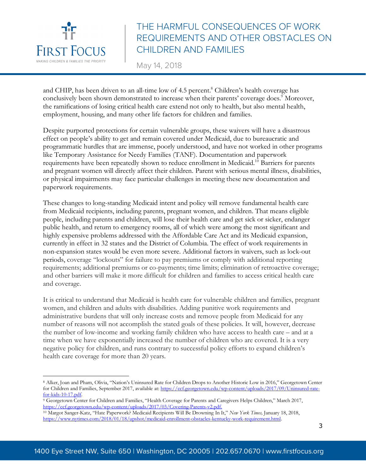

May 14, 2018

and CHIP, has been driven to an all-time low of 4.5 percent.<sup>8</sup> Children's health coverage has conclusively been shown demonstrated to increase when their parents' coverage does.<sup>9</sup> Moreover, the ramifications of losing critical health care extend not only to health, but also mental health, employment, housing, and many other life factors for children and families.

Despite purported protections for certain vulnerable groups, these waivers will have a disastrous effect on people's ability to get and remain covered under Medicaid, due to bureaucratic and programmatic hurdles that are immense, poorly understood, and have not worked in other programs like Temporary Assistance for Needy Families (TANF). Documentation and paperwork requirements have been repeatedly shown to reduce enrollment in Medicaid.10 Barriers for parents and pregnant women will directly affect their children. Parent with serious mental illness, disabilities, or physical impairments may face particular challenges in meeting these new documentation and paperwork requirements.

These changes to long-standing Medicaid intent and policy will remove fundamental health care from Medicaid recipients, including parents, pregnant women, and children. That means eligible people, including parents and children, will lose their health care and get sick or sicker, endanger public health, and return to emergency rooms, all of which were among the most significant and highly expensive problems addressed with the Affordable Care Act and its Medicaid expansion, currently in effect in 32 states and the District of Columbia. The effect of work requirements in non-expansion states would be even more severe. Additional factors in waivers, such as lock-out periods, coverage "lockouts" for failure to pay premiums or comply with additional reporting requirements; additional premiums or co-payments; time limits; elimination of retroactive coverage; and other barriers will make it more difficult for children and families to access critical health care and coverage.

It is critical to understand that Medicaid is health care for vulnerable children and families, pregnant women, and children and adults with disabilities. Adding punitive work requirements and administrative burdens that will only increase costs and remove people from Medicaid for any number of reasons will not accomplish the stated goals of these policies. It will, however, decrease the number of low-income and working family children who have access to health care – and at a time when we have exponentially increased the number of children who are covered. It is a very negative policy for children, and runs contrary to successful policy efforts to expand children's health care coverage for more than 20 years.

 $\overline{a}$ <sup>8</sup> Alker, Joan and Pham, Olivia, "Nation's Uninsured Rate for Children Drops to Another Historic Low in 2016," Georgetown Center for Children and Families, September 2017, available at: https://ccf.georgetown.edu/wp-content/uploads/2017/09/Uninsured-rate-<br>for-kids-10-17.pdf.

<sup>&</sup>lt;sup>9</sup> Georgetown Center for Children and Families, "Health Coverage for Parents and Caregivers Helps Children," March 2017, https://ccf.georgetown.edu/wp-content/uploads/2017/03/Covering-Parents-v2.pdf.

<sup>10</sup> Margot Sanger-Katz, "Hate Paperwork? Medicaid Recipients Will Be Drowning In It," *New York Times,* January 18, 2018, https://www.nytimes.com/2018/01/18/upshot/medicaid-enrollment-obstacles-kentucky-work-requirement.html.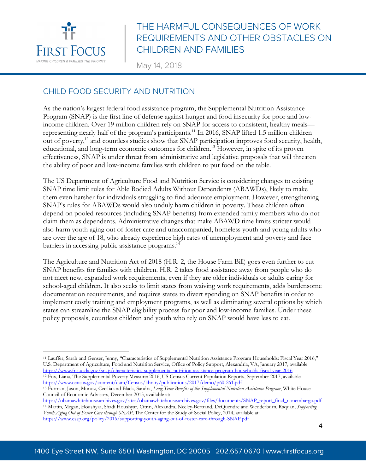

 $\overline{\phantom{a}}$ 

# THE HARMFUL CONSEQUENCES OF WORK REQUIREMENTS AND OTHER OBSTACLES ON CHILDREN AND FAMILIES

May 14, 2018

#### CHILD FOOD SECURITY AND NUTRITION

As the nation's largest federal food assistance program, the Supplemental Nutrition Assistance Program (SNAP) is the first line of defense against hunger and food insecurity for poor and lowincome children. Over 19 million children rely on SNAP for access to consistent, healthy meals representing nearly half of the program's participants.<sup>11</sup> In 2016, SNAP lifted 1.5 million children out of poverty,<sup>12</sup> and countless studies show that SNAP participation improves food security, health, educational, and long-term economic outcomes for children. <sup>13</sup> However, in spite of its proven effectiveness, SNAP is under threat from administrative and legislative proposals that will threaten the ability of poor and low-income families with children to put food on the table.

The US Department of Agriculture Food and Nutrition Service is considering changes to existing SNAP time limit rules for Able Bodied Adults Without Dependents (ABAWDs), likely to make them even harsher for individuals struggling to find adequate employment. However, strengthening SNAP's rules for ABAWDs would also unduly harm children in poverty. These children often depend on pooled resources (including SNAP benefits) from extended family members who do not claim them as dependents. Administrative changes that make ABAWD time limits stricter would also harm youth aging out of foster care and unaccompanied, homeless youth and young adults who are over the age of 18, who already experience high rates of unemployment and poverty and face barriers in accessing public assistance programs. 14

The Agriculture and Nutrition Act of 2018 (H.R. 2, the House Farm Bill) goes even further to cut SNAP benefits for families with children. H.R. 2 takes food assistance away from people who do not meet new, expanded work requirements, even if they are older individuals or adults caring for school-aged children. It also seeks to limit states from waiving work requirements, adds burdensome documentation requirements, and requires states to divert spending on SNAP benefits in order to implement costly training and employment programs, as well as eliminating several options by which states can streamline the SNAP eligibility process for poor and low-income families. Under these policy proposals, countless children and youth who rely on SNAP would have less to eat.

https://obamawhitehouse.archives.gov/sites/obamawhitehouse.archives.gov/files/documents/SNAP\_report\_final\_nonembargo.pdf <sup>14</sup> Martin, Megan, Houshyar, Shadi Houshyar, Citrin, Alexandra, Neeley-Bertrand, DeQuendre and Wedderburn, Raquan, *Supporting Youth Aging Out of Foster Care through SNAP*, The Center for the Study of Social Policy, 2014, available at: https://www.cssp.org/policy/2016/supporting-youth-aging-out-of-foster-care-through-SNAP.pdf

<sup>11</sup> Lauffer, Sarah and Genser, Jenny, "Characteristics of Supplemental Nutrition Assistance Program Households: Fiscal Year 2016," U.S. Department of Agriculture, Food and Nutrition Service, Office of Policy Support, Alexandria, VA, January 2017, available https://www.fns.usda.gov/snap/characteristics-supplemental-nutrition-assistance-program-households-fiscal-year-2016 <sup>12</sup> Fox, Liana, The Supplemental Poverty Measure: 2016, US Census Current Population Reports, September 2017, available https://www.census.gov/content/dam/Census/library/publications/2017/demo/p60-261.pdf

<sup>13</sup> Furman, Jason, Munoz, Cecilia and Black, Sandra, *Long Term Benefits of the Supplemental Nutrition Assistance Program*, White House Council of Economic Advisors, December 2015, available at: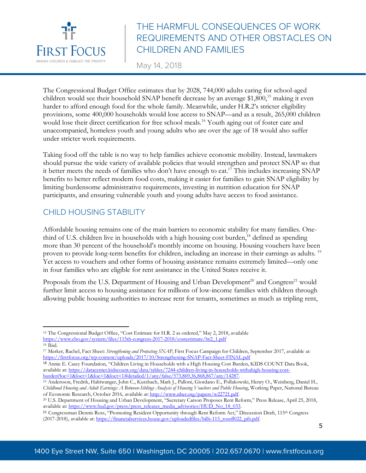

May 14, 2018

The Congressional Budget Office estimates that by 2028, 744,000 adults caring for school-aged children would see their household SNAP benefit decrease by an average \$1,800,<sup>15</sup> making it even harder to afford enough food for the whole family. Meanwhile, under H.R.2's stricter eligibility provisions, some 400,000 households would lose access to SNAP—and as a result, 265,000 children would lose their direct certification for free school meals.<sup>16</sup> Youth aging out of foster care and unaccompanied, homeless youth and young adults who are over the age of 18 would also suffer under stricter work requirements.

Taking food off the table is no way to help families achieve economic mobility. Instead, lawmakers should pursue the wide variety of available policies that would strengthen and protect SNAP so that it better meets the needs of families who don't have enough to eat.<sup>17</sup> This includes increasing SNAP benefits to better reflect modern food costs, making it easier for families to gain SNAP eligibility by limiting burdensome administrative requirements, investing in nutrition education for SNAP participants, and ensuring vulnerable youth and young adults have access to food assistance.

#### CHILD HOUSING STABILITY

 $\overline{a}$ 

Affordable housing remains one of the main barriers to economic stability for many families. Onethird of U.S. children live in households with a high housing cost burden,<sup>18</sup> defined as spending more than 30 percent of the household's monthly income on housing. Housing vouchers have been proven to provide long-term benefits for children, including an increase in their earnings as adults. 19 Yet access to vouchers and other forms of housing assistance remains extremely limited—only one in four families who are eligible for rent assistance in the United States receive it.

Proposals from the U.S. Department of Housing and Urban Development<sup>20</sup> and Congress<sup>21</sup> would further limit access to housing assistance for millions of low-income families with children through allowing public housing authorities to increase rent for tenants, sometimes as much as tripling rent,

<sup>18</sup> Annie E. Casey Foundation, "Children Living in Households with a High Housing Cost Burden, KIDS COUNT Data Book, available at: https://datacenter.kidscount.org/data/tables/7244-children-living-in-households-withahigh-housing-costburden?loc=1&loct=1&loc=1&loct=1#detailed/1/any/false/573,869,36,868,867/any/14287.

<sup>15</sup> The Congressional Budget Office, "Cost Estimate for H.R. 2 as ordered," May 2, 2018, available https://www.cbo.gov/system/files/115th-congress-2017-2018/costestimate/hr2\_1.pdf

<sup>&</sup>lt;sup>16</sup> Ibid.<br><sup>17</sup> Merker, Rachel, Fact Sheet: *Strengthening and Protecting SNAP*, First Focus Campaign for Children, September 2017, available at: https://firstfocus.org/wp-content/uploads/2017/10/Strengthening-SNAP-Fact-Sheet-FINAL.pdf

<sup>19</sup> Andersson, Fredrik, Haltiwanger, John C., Kutzbach, Mark J., Palloni, Giordano E., Pollakowski, Henry O., Weinberg, Daniel H., *Childhood Housing and Adult Earnings: A Between-Siblings Analysis of Housing Vouchers and Public Housing*, Working Paper, National Bureau of Economic Research, October 2016, available at: http://www.nber.org/papers/w22721.pdf.

<sup>20</sup> U.S. Department of Housing and Urban Development, "Secretary Carson Proposes Rent Reform," Press Release, April 25, 2018, available at: https://www.hud.gov/press/press\_releases\_media\_advisories/HUD\_No\_18\_033.

<sup>21</sup> Congressman Dennis Ross, "Promoting Resident Opportunity through Rent Reform Act," Discussion Draft, 115th Congress (2017-2018), available at: https://financialservices.house.gov/uploadedfiles/bills-115\_rossfl022\_pih.pdf.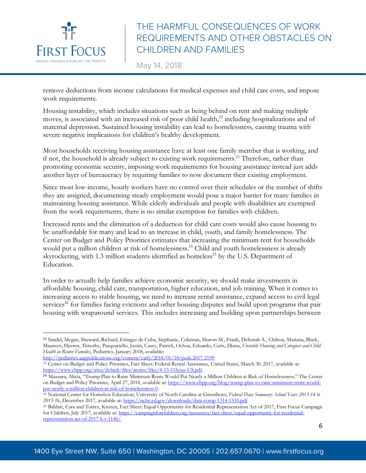

May 14, 2018

remove deductions from income calculations for medical expenses and child care costs, and impose work requirements.

Housing instability, which includes situations such as being behind on rent and making multiple moves, is associated with an increased risk of poor child health,<sup>22</sup> including hospitalizations and of maternal depression. Sustained housing instability can lead to homelessness, causing trauma with severe negative implications for children's healthy development.

Most households receiving housing assistance have at least one family member that is working, and if not, the household is already subject to existing work requirements.<sup>23</sup> Therefore, rather than promoting economic security, imposing work requirements for housing assistance instead just adds another layer of bureaucracy by requiring families to now document their existing employment.

Since most low-income, hourly workers have no control over their schedules or the number of shifts they are assigned, documenting steady employment would pose a major barrier for many families in maintaining housing assistance. While elderly individuals and people with disabilities are exempted from the work requirements, there is no similar exemption for families with children.

Increased rents and the elimination of a deduction for child care costs would also cause housing to be unaffordable for many and lead to an increase in child, youth, and family homelessness. The Center on Budget and Policy Priorities estimates that increasing the minimum rent for households would put a million children at risk of homelessness.<sup>24</sup> Child and youth homelessness is already skyrocketing, with 1.3 million students identified as homeless<sup>25</sup> by the U.S. Department of Education.

In order to actually help families achieve economic security, we should make investments in affordable housing, child care, transportation, higher education, and job training. When it comes to increasing access to stable housing, we need to increase rental assistance, expand access to civil legal services<sup>26</sup> for families facing evictions and other housing disputes and build upon programs that pair housing with wraparound services. This includes increasing and building upon partnerships between

 <sup>22</sup> Sandel, Megan, Sheward, Richard, Ettinger de Cuba, Stephanie, Coleman, Sharon M., Frank, Deborah A., Chilton, Mariana, Black, Maureen, Heeren, Timothy, Pasquariello, Justin, Casey, Patrick, Ochoa, Eduardo, Cutts, Diana, *Unstable Housing and Caregiver and Child Health in Renter Families*, Pediatrics, January 2018, available:

http://pediatrics.aappublications.org/content/early/2018/01/18/peds.2017-2199 <sup>23</sup> Center on Budget and Policy Priorities, Fact Sheet: Federal Rental Assistance, United States, March 30, 2017, available at: https://www.cbpp.org/sites/default/files/atoms/files/4-13-11hous-US.pdf.

<sup>24</sup> Mazzara, Alicia, "Trump Plan to Raise Minimum Rents Would Put Nearly a Million Children at Risk of Homelessness," The Center on Budget and Policy Priorities, April 27, 2018, available at: https://www.cbpp.org/blog/trump-plan-to-raise-minimum-rents-wouldput-nearly-a-million-children-at-risk-of-homelessness-0.

<sup>25</sup> National Center for Homeless Education, University of North Carolina at Greenboro, *Federal Data Summary: School Years 2013-14 to 2015-16*, December 2017, available at: https://nche.ed.gov/downloads/data-comp-1314-1516.pdf

<sup>26</sup> Baldari, Cara and Torres, Kristen, Fact Sheet: Equal Opportunity for Residential Representation Act of 2017, First Focus Campaign for Children, July 2017, available at: https://campaignforchildren.org/resources/fact-sheet/equal-opportunity-for-residentialrepresentation-act-of-2017-h-r-1146/.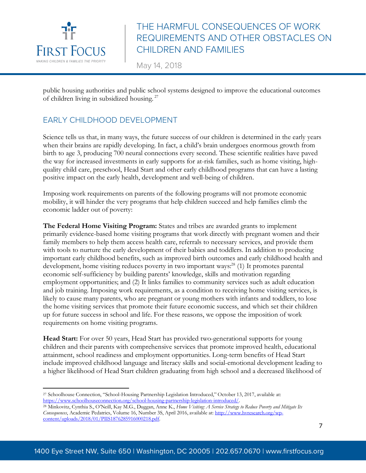

May 14, 2018

public housing authorities and public school systems designed to improve the educational outcomes of children living in subsidized housing. <sup>27</sup>

#### EARLY CHILDHOOD DEVELOPMENT

Science tells us that, in many ways, the future success of our children is determined in the early years when their brains are rapidly developing. In fact, a child's brain undergoes enormous growth from birth to age 3, producing 700 neural connections every second. These scientific realities have paved the way for increased investments in early supports for at-risk families, such as home visiting, highquality child care, preschool, Head Start and other early childhood programs that can have a lasting positive impact on the early health, development and well-being of children.

Imposing work requirements on parents of the following programs will not promote economic mobility, it will hinder the very programs that help children succeed and help families climb the economic ladder out of poverty:

**The Federal Home Visiting Program:** States and tribes are awarded grants to implement primarily evidence-based home visiting programs that work directly with pregnant women and their family members to help them access health care, referrals to necessary services, and provide them with tools to nurture the early development of their babies and toddlers. In addition to producing important early childhood benefits, such as improved birth outcomes and early childhood health and development, home visiting reduces poverty in two important ways:<sup>28</sup> (1) It promotes parental economic self-sufficiency by building parents' knowledge, skills and motivation regarding employment opportunities; and (2) It links families to community services such as adult education and job training. Imposing work requirements, as a condition to receiving home visiting services, is likely to cause many parents, who are pregnant or young mothers with infants and toddlers, to lose the home visiting services that promote their future economic success, and which set their children up for future success in school and life. For these reasons, we oppose the imposition of work requirements on home visiting programs.

**Head Start:** For over 50 years, Head Start has provided two-generational supports for young children and their parents with comprehensive services that promote improved health, educational attainment, school readiness and employment opportunities. Long-term benefits of Head Start include improved childhood language and literacy skills and social-emotional development leading to a higher likelihood of Head Start children graduating from high school and a decreased likelihood of

 $\overline{a}$ <sup>27</sup> Schoolhouse Connection, "School-Housing Partnership Legislation Introduced," October 13, 2017, available at:<br>https://www.schoolhouseconnection.org/school-housing-partnership-legislation-introduced/.

<sup>&</sup>lt;sup>28</sup> Minkovitz, Cynthia S., O'Neill, Kay M.G., Duggan, Anne K., Home Visiting: A Service Strategy to Reduce Poverty and Mitigate Its *Consequences*, Academic Pedatrics, Volume 16, Number 3S, April 2016, available at: http://www.hvresearch.org/wpcontent/uploads/2018/01/PIIS1876285916000218.pdf.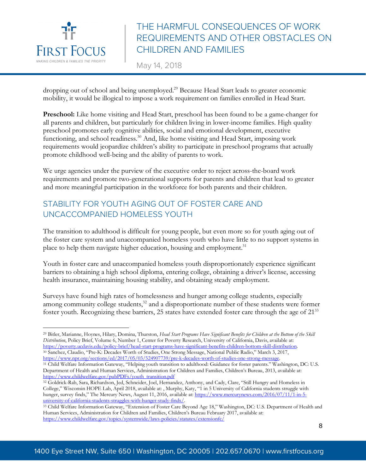

 $\overline{a}$ 

# THE HARMFUL CONSEQUENCES OF WORK REQUIREMENTS AND OTHER OBSTACLES ON CHILDREN AND FAMILIES

May 14, 2018

dropping out of school and being unemployed.<sup>29</sup> Because Head Start leads to greater economic mobility, it would be illogical to impose a work requirement on families enrolled in Head Start.

**Preschool:** Like home visiting and Head Start, preschool has been found to be a game-changer for all parents and children, but particularly for children living in lower-income families. High quality preschool promotes early cognitive abilities, social and emotional development, executive functioning, and school readiness.<sup>30</sup> And, like home visiting and Head Start, imposing work requirements would jeopardize children's ability to participate in preschool programs that actually promote childhood well-being and the ability of parents to work.

We urge agencies under the purview of the executive order to reject across-the-board work requirements and promote two-generational supports for parents and children that lead to greater and more meaningful participation in the workforce for both parents and their children.

#### STABILITY FOR YOUTH AGING OUT OF FOSTER CARE AND UNCACCOMPANIED HOMELESS YOUTH

The transition to adulthood is difficult for young people, but even more so for youth aging out of the foster care system and unaccompanied homeless youth who have little to no support systems in place to help them navigate higher education, housing and employment.<sup>31</sup>

Youth in foster care and unaccompanied homeless youth disproportionately experience significant barriers to obtaining a high school diploma, entering college, obtaining a driver's license, accessing health insurance, maintaining housing stability, and obtaining steady employment.

Surveys have found high rates of homelessness and hunger among college students, especially among community college students,<sup>32</sup> and a disproportionate number of these students were former foster youth. Recognizing these barriers, 25 states have extended foster care through the age of 21<sup>33</sup>

<sup>29</sup> Bitler, Marianne, Hoynes, Hilary, Domina, Thurston, *Head Start Programs Have Significant Benefits for Children at the Bottom of the Skill Distribution*, Policy Brief, Volume 6, Number 1, Center for Poverty Research, University of California, Davis, available at: https://poverty.ucdavis.edu/policy-brief/head-start-programs-have-significant-benefits-children-bottom-skill-distribution. <sup>30</sup> Sanchez, Claudio, "Pre-K: Decades Worth of Studies, One Strong Message, National Public Radio," March 3, 2017, https://www.npr.org/sections/ed/2017/05/03/524907739/pre-k-decades-worth-of-studies-one-strong-message.

<sup>&</sup>lt;sup>31</sup> Child Welfare Information Gateway, "Helping youth transition to adulthood: Guidance for foster parents." Washington, DC: U.S. Department of Health and Human Services, Administration for Children and Families, Children's Bureau, 2013, available at: https://www.childwelfare.gov/pubPDFs/youth\_transition.pdf

<sup>32</sup> Goldrick-Rab, Sara, Richardson, Jed, Schneider, Joel, Hernandez, Anthony, and Cady, Clare, "Still Hungry and Homeless in College," Wisconsin HOPE Lab, April 2018, available at: , Murphy, Katy, "1 in 5 University of California students struggle with hunger, survey finds," The Mercury News, August 11, 2016, available at: https://www.mercurynews.com/2016/07/11/1-in-5-<br>university-of-california-students-struggles-with-hunger-study-finds/

<sup>&</sup>lt;sup>33</sup> Child Welfare Information Gateway, "Extension of Foster Care Beyond Age 18," Washington, DC: U.S. Department of Health and Human Services, Administration for Children and Families, Children's Bureau February 2017, available at: https://www.childwelfare.gov/topics/systemwide/laws-policies/statutes/extensionfc/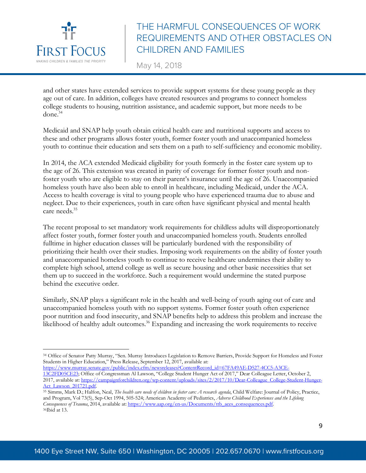

May 14, 2018

and other states have extended services to provide support systems for these young people as they age out of care. In addition, colleges have created resources and programs to connect homeless college students to housing, nutrition assistance, and academic support, but more needs to be done.34

Medicaid and SNAP help youth obtain critical health care and nutritional supports and access to these and other programs allows foster youth, former foster youth and unaccompanied homeless youth to continue their education and sets them on a path to self-sufficiency and economic mobility.

In 2014, the ACA extended Medicaid eligibility for youth formerly in the foster care system up to the age of 26. This extension was created in parity of coverage for former foster youth and nonfoster youth who are eligible to stay on their parent's insurance until the age of 26. Unaccompanied homeless youth have also been able to enroll in healthcare, including Medicaid, under the ACA. Access to health coverage is vital to young people who have experienced trauma due to abuse and neglect. Due to their experiences, youth in care often have significant physical and mental health care needs.<sup>35</sup>

The recent proposal to set mandatory work requirements for childless adults will disproportionately affect foster youth, former foster youth and unaccompanied homeless youth. Students enrolled fulltime in higher education classes will be particularly burdened with the responsibility of prioritizing their health over their studies. Imposing work requirements on the ability of foster youth and unaccompanied homeless youth to continue to receive healthcare undermines their ability to complete high school, attend college as well as secure housing and other basic necessities that set them up to succeed in the workforce. Such a requirement would undermine the stated purpose behind the executive order.

Similarly, SNAP plays a significant role in the health and well-being of youth aging out of care and unaccompanied homeless youth with no support systems. Former foster youth often experience poor nutrition and food insecurity, and SNAP benefits help to address this problem and increase the likelihood of healthy adult outcomes.<sup>36</sup> Expanding and increasing the work requirements to receive

 $\overline{a}$ <sup>34</sup> Office of Senator Patty Murray, "Sen. Murray Introduces Legislation to Remove Barriers, Provide Support for Homeless and Foster Students in Higher Education," Press Release, September 12, 2017, available at:

https://www.murray.senate.gov/public/index.cfm/newsreleases?ContentRecord\_id=67FA49AE-D527-4CC5-A3CE-13C2FD05CE23; Office of Congressman Al Lawson, "College Student Hunger Act of 2017," Dear Colleague Letter, October 2, 2017, available at: https://campaignforchildren.org/wp-content/uploads/sites/2/2017/10/Dear-Collegge-College-Student-Hunger-Act\_Lawson\_201721.pdf.

<sup>35</sup> Simms, Mark D.; Halfon, Neal, *The health care needs of children in foster care: A research agenda*, Child Welfare: Journal of Policy, Practice, and Program, Vol 73(5), Sep-Oct 1994, 505-524; American Academy of Pediatrics, *Adverse Childhood Experiences and the Lifelong Consequences of Trauma*, 2014, available at: https://www.aap.org/en-us/Documents/ttb\_aces\_consequences.pdf. <sup>36</sup>Ibid at 13.